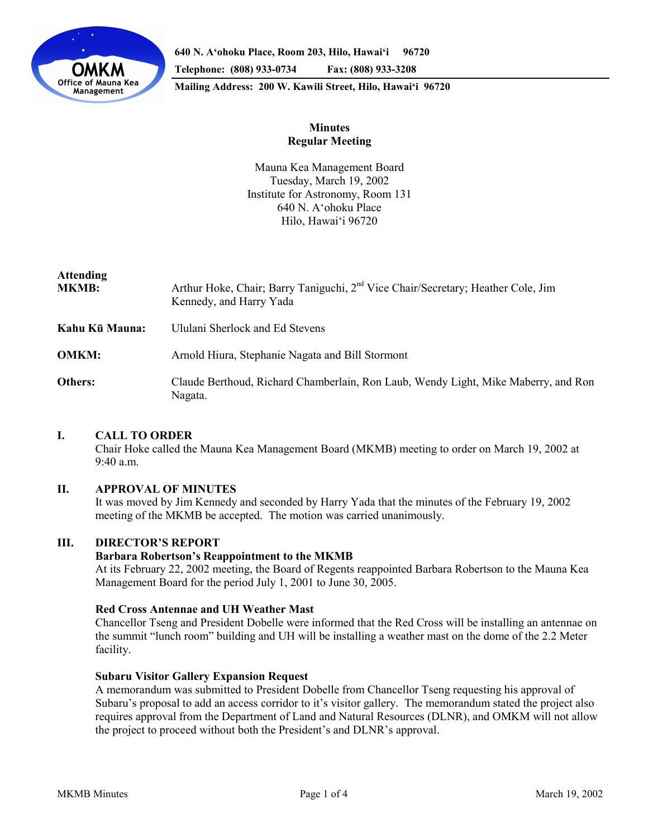

**640 N. A'ohoku Place, Room 203, Hilo, Hawai'i 96720 Telephone: (808) 933-0734 Fax: (808) 933-3208 Mailing Address: 200 W. Kawili Street, Hilo, Hawai'i 96720** 

## **Minutes Regular Meeting**

Mauna Kea Management Board Tuesday, March 19, 2002 Institute for Astronomy, Room 131 640 N. A'ohoku Place Hilo, Hawai'i 96720

# **Attending**

| ------------<br><b>MKMB:</b> | Arthur Hoke, Chair; Barry Taniguchi, 2 <sup>nd</sup> Vice Chair/Secretary; Heather Cole, Jim<br>Kennedy, and Harry Yada |
|------------------------------|-------------------------------------------------------------------------------------------------------------------------|
| Kahu Kū Mauna:               | Ululani Sherlock and Ed Stevens                                                                                         |
| <b>OMKM:</b>                 | Arnold Hiura, Stephanie Nagata and Bill Stormont                                                                        |
| Others:                      | Claude Berthoud, Richard Chamberlain, Ron Laub, Wendy Light, Mike Maberry, and Ron<br>Nagata.                           |

## **I. CALL TO ORDER**

 Chair Hoke called the Mauna Kea Management Board (MKMB) meeting to order on March 19, 2002 at  $9.40 a m$ 

## **II. APPROVAL OF MINUTES**

It was moved by Jim Kennedy and seconded by Harry Yada that the minutes of the February 19, 2002 meeting of the MKMB be accepted. The motion was carried unanimously.

## **III. DIRECTOR'S REPORT**

## **Barbara Robertson's Reappointment to the MKMB**

At its February 22, 2002 meeting, the Board of Regents reappointed Barbara Robertson to the Mauna Kea Management Board for the period July 1, 2001 to June 30, 2005.

## **Red Cross Antennae and UH Weather Mast**

Chancellor Tseng and President Dobelle were informed that the Red Cross will be installing an antennae on the summit "lunch room" building and UH will be installing a weather mast on the dome of the 2.2 Meter facility.

## **Subaru Visitor Gallery Expansion Request**

A memorandum was submitted to President Dobelle from Chancellor Tseng requesting his approval of Subaru's proposal to add an access corridor to it's visitor gallery. The memorandum stated the project also requires approval from the Department of Land and Natural Resources (DLNR), and OMKM will not allow the project to proceed without both the President's and DLNR's approval.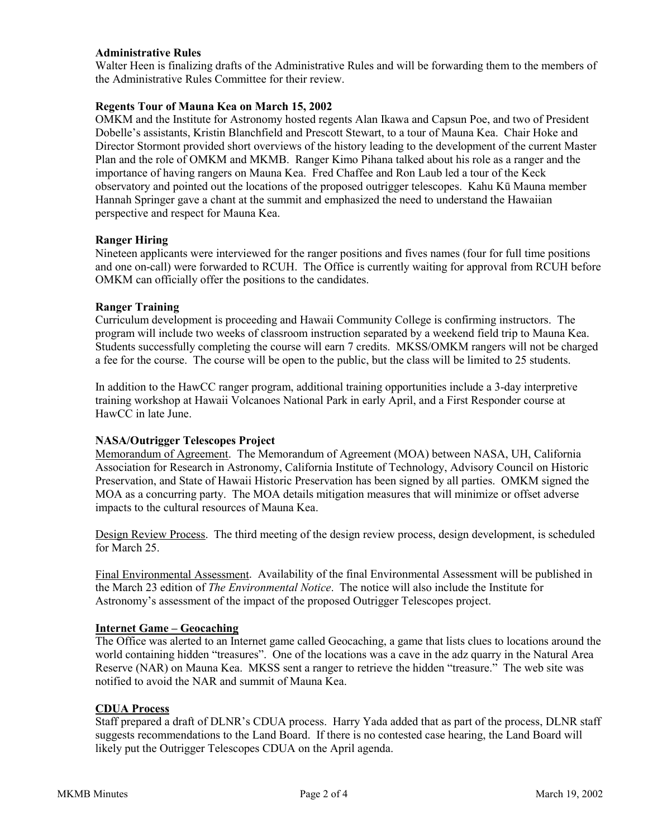### **Administrative Rules**

Walter Heen is finalizing drafts of the Administrative Rules and will be forwarding them to the members of the Administrative Rules Committee for their review.

#### **Regents Tour of Mauna Kea on March 15, 2002**

OMKM and the Institute for Astronomy hosted regents Alan Ikawa and Capsun Poe, and two of President Dobelle's assistants, Kristin Blanchfield and Prescott Stewart, to a tour of Mauna Kea. Chair Hoke and Director Stormont provided short overviews of the history leading to the development of the current Master Plan and the role of OMKM and MKMB. Ranger Kimo Pihana talked about his role as a ranger and the importance of having rangers on Mauna Kea. Fred Chaffee and Ron Laub led a tour of the Keck observatory and pointed out the locations of the proposed outrigger telescopes. Kahu Kū Mauna member Hannah Springer gave a chant at the summit and emphasized the need to understand the Hawaiian perspective and respect for Mauna Kea.

#### **Ranger Hiring**

Nineteen applicants were interviewed for the ranger positions and fives names (four for full time positions and one on-call) were forwarded to RCUH. The Office is currently waiting for approval from RCUH before OMKM can officially offer the positions to the candidates.

#### **Ranger Training**

Curriculum development is proceeding and Hawaii Community College is confirming instructors. The program will include two weeks of classroom instruction separated by a weekend field trip to Mauna Kea. Students successfully completing the course will earn 7 credits. MKSS/OMKM rangers will not be charged a fee for the course. The course will be open to the public, but the class will be limited to 25 students.

In addition to the HawCC ranger program, additional training opportunities include a 3-day interpretive training workshop at Hawaii Volcanoes National Park in early April, and a First Responder course at HawCC in late June.

### **NASA/Outrigger Telescopes Project**

Memorandum of Agreement. The Memorandum of Agreement (MOA) between NASA, UH, California Association for Research in Astronomy, California Institute of Technology, Advisory Council on Historic Preservation, and State of Hawaii Historic Preservation has been signed by all parties. OMKM signed the MOA as a concurring party. The MOA details mitigation measures that will minimize or offset adverse impacts to the cultural resources of Mauna Kea.

Design Review Process. The third meeting of the design review process, design development, is scheduled for March 25.

Final Environmental Assessment. Availability of the final Environmental Assessment will be published in the March 23 edition of *The Environmental Notice*. The notice will also include the Institute for Astronomy's assessment of the impact of the proposed Outrigger Telescopes project.

#### **Internet Game – Geocaching**

The Office was alerted to an Internet game called Geocaching, a game that lists clues to locations around the world containing hidden "treasures". One of the locations was a cave in the adz quarry in the Natural Area Reserve (NAR) on Mauna Kea. MKSS sent a ranger to retrieve the hidden "treasure." The web site was notified to avoid the NAR and summit of Mauna Kea.

#### **CDUA Process**

Staff prepared a draft of DLNR's CDUA process. Harry Yada added that as part of the process, DLNR staff suggests recommendations to the Land Board. If there is no contested case hearing, the Land Board will likely put the Outrigger Telescopes CDUA on the April agenda.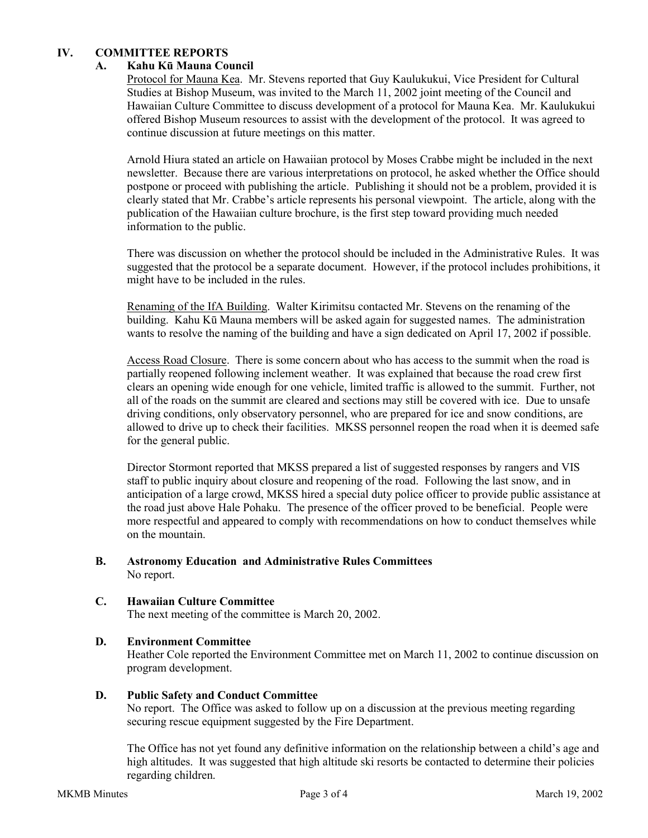## **IV. COMMITTEE REPORTS**

## **A. Kahu Kū Mauna Council**

Protocol for Mauna Kea. Mr. Stevens reported that Guy Kaulukukui, Vice President for Cultural Studies at Bishop Museum, was invited to the March 11, 2002 joint meeting of the Council and Hawaiian Culture Committee to discuss development of a protocol for Mauna Kea. Mr. Kaulukukui offered Bishop Museum resources to assist with the development of the protocol. It was agreed to continue discussion at future meetings on this matter.

 Arnold Hiura stated an article on Hawaiian protocol by Moses Crabbe might be included in the next newsletter. Because there are various interpretations on protocol, he asked whether the Office should postpone or proceed with publishing the article. Publishing it should not be a problem, provided it is clearly stated that Mr. Crabbe's article represents his personal viewpoint. The article, along with the publication of the Hawaiian culture brochure, is the first step toward providing much needed information to the public.

 There was discussion on whether the protocol should be included in the Administrative Rules. It was suggested that the protocol be a separate document. However, if the protocol includes prohibitions, it might have to be included in the rules.

 Renaming of the IfA Building. Walter Kirimitsu contacted Mr. Stevens on the renaming of the building. Kahu Kū Mauna members will be asked again for suggested names. The administration wants to resolve the naming of the building and have a sign dedicated on April 17, 2002 if possible.

 Access Road Closure. There is some concern about who has access to the summit when the road is partially reopened following inclement weather. It was explained that because the road crew first clears an opening wide enough for one vehicle, limited traffic is allowed to the summit. Further, not all of the roads on the summit are cleared and sections may still be covered with ice. Due to unsafe driving conditions, only observatory personnel, who are prepared for ice and snow conditions, are allowed to drive up to check their facilities. MKSS personnel reopen the road when it is deemed safe for the general public.

Director Stormont reported that MKSS prepared a list of suggested responses by rangers and VIS staff to public inquiry about closure and reopening of the road. Following the last snow, and in anticipation of a large crowd, MKSS hired a special duty police officer to provide public assistance at the road just above Hale Pohaku. The presence of the officer proved to be beneficial. People were more respectful and appeared to comply with recommendations on how to conduct themselves while on the mountain.

### **B. Astronomy Education and Administrative Rules Committees**  No report.

## **C. Hawaiian Culture Committee**

The next meeting of the committee is March 20, 2002.

## **D. Environment Committee**

Heather Cole reported the Environment Committee met on March 11, 2002 to continue discussion on program development.

### **D. Public Safety and Conduct Committee**

No report. The Office was asked to follow up on a discussion at the previous meeting regarding securing rescue equipment suggested by the Fire Department.

The Office has not yet found any definitive information on the relationship between a child's age and high altitudes. It was suggested that high altitude ski resorts be contacted to determine their policies regarding children.